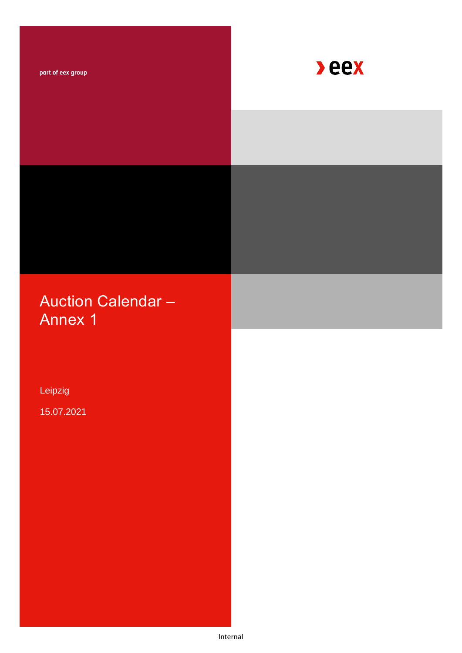part of eex group



# Auction Calendar – Annex 1

Leipzig

15.07.2021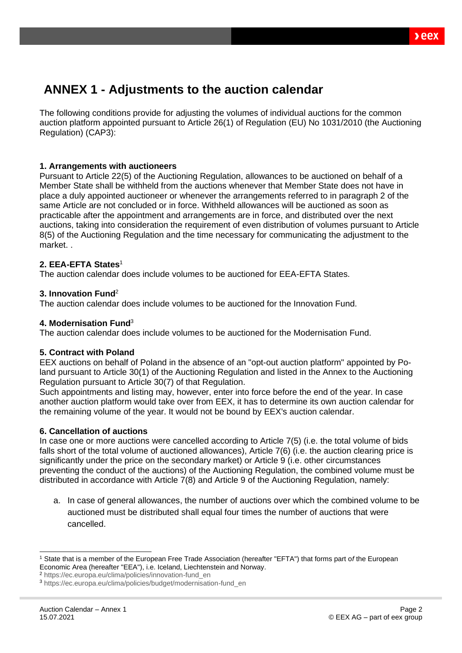## **ANNEX 1 - Adjustments to the auction calendar**

The following conditions provide for adjusting the volumes of individual auctions for the common auction platform appointed pursuant to Article 26(1) of Regulation (EU) No 1031/2010 (the Auctioning Regulation) (CAP3):

#### **1. Arrangements with auctioneers**

Pursuant to Article 22(5) of the Auctioning Regulation, allowances to be auctioned on behalf of a Member State shall be withheld from the auctions whenever that Member State does not have in place a duly appointed auctioneer or whenever the arrangements referred to in paragraph 2 of the same Article are not concluded or in force. Withheld allowances will be auctioned as soon as practicable after the appointment and arrangements are in force, and distributed over the next auctions, taking into consideration the requirement of even distribution of volumes pursuant to Article 8(5) of the Auctioning Regulation and the time necessary for communicating the adjustment to the market. .

#### **2. EEA-EFTA States**<sup>1</sup>

The auction calendar does include volumes to be auctioned for EEA-EFTA States.

#### **3. Innovation Fund**<sup>2</sup>

The auction calendar does include volumes to be auctioned for the Innovation Fund.

#### **4. Modernisation Fund**<sup>3</sup>

The auction calendar does include volumes to be auctioned for the Modernisation Fund.

#### **5. Contract with Poland**

EEX auctions on behalf of Poland in the absence of an "opt-out auction platform" appointed by Poland pursuant to Article 30(1) of the Auctioning Regulation and listed in the Annex to the Auctioning Regulation pursuant to Article 30(7) of that Regulation.

Such appointments and listing may, however, enter into force before the end of the year. In case another auction platform would take over from EEX, it has to determine its own auction calendar for the remaining volume of the year. It would not be bound by EEX's auction calendar.

#### **6. Cancellation of auctions**

In case one or more auctions were cancelled according to Article 7(5) (i.e. the total volume of bids falls short of the total volume of auctioned allowances), Article 7(6) (i.e. the auction clearing price is significantly under the price on the secondary market) or Article 9 (i.e. other circumstances preventing the conduct of the auctions) of the Auctioning Regulation, the combined volume must be distributed in accordance with Article 7(8) and Article 9 of the Auctioning Regulation, namely:

a. In case of general allowances, the number of auctions over which the combined volume to be auctioned must be distributed shall equal four times the number of auctions that were cancelled.

<sup>1</sup> State that is a member of the European Free Trade Association (hereafter "EFTA") that forms part o*f* the European Economic Area (hereafter "EEA"), i.e. Iceland, Liechtenstein and Norway.

<sup>2</sup> [https://ec.europa.eu/clima/policies/innovation-fund\\_en](https://ec.europa.eu/clima/policies/innovation-fund_en)

<sup>3</sup> [https://ec.europa.eu/clima/policies/budget/modernisation-fund\\_en](https://ec.europa.eu/clima/policies/budget/modernisation-fund_en)